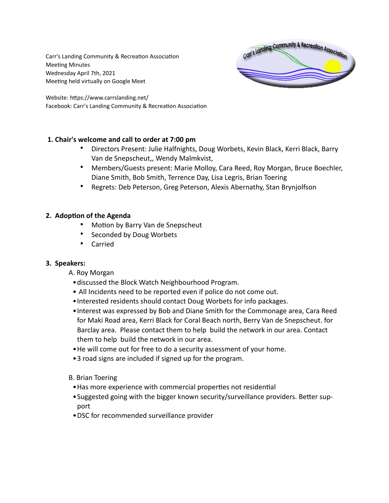Carr's Landing Community & Recreation Association Meeting Minutes Wednesday April 7th, 2021 Meeting held virtually on Google Meet



Website: https://www.carrslanding.net/ Facebook: Carr's Landing Community & Recreation Association

# **1. Chair's welcome and call to order at 7:00 pm**

- Directors Present: Julie Halfnights, Doug Worbets, Kevin Black, Kerri Black, Barry Van de Snepscheut,, Wendy Malmkvist,
- Members/Guests present: Marie Molloy, Cara Reed, Roy Morgan, Bruce Boechler, Diane Smith, Bob Smith, Terrence Day, Lisa Legris, Brian Toering
- Regrets: Deb Peterson, Greg Peterson, Alexis Abernathy, Stan Brynjolfson

# **2. Adoption of the Agenda**

- Motion by Barry Van de Snepscheut
- Seconded by Doug Worbets
- Carried

# **3. Speakers:**

- A. Roy Morgan
	- •discussed the Block Watch Neighbourhood Program.
	- All Incidents need to be reported even if police do not come out.
	- •Interested residents should contact Doug Worbets for info packages.
	- •Interest was expressed by Bob and Diane Smith for the Commonage area, Cara Reed for Maki Road area, Kerri Black for Coral Beach north, Berry Van de Snepscheut. for Barclay area. Please contact them to help build the network in our area. Contact them to help build the network in our area.
	- •He will come out for free to do a security assessment of your home.
	- •3 road signs are included if signed up for the program.
- B. Brian Toering
	- •Has more experience with commercial properties not residential
	- •Suggested going with the bigger known security/surveillance providers. Better support
	- •DSC for recommended surveillance provider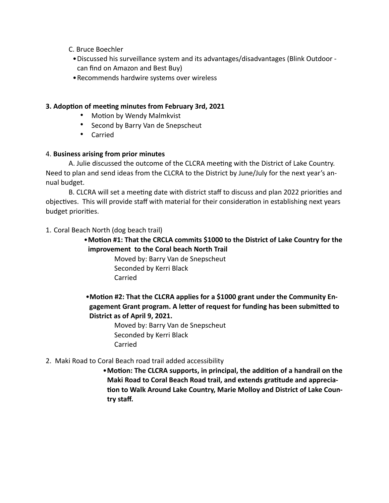- C. Bruce Boechler
	- •Discussed his surveillance system and its advantages/disadvantages (Blink Outdoor can find on Amazon and Best Buy)
- •Recommends hardwire systems over wireless

### **3. Adoption of meeting minutes from February 3rd, 2021**

- Motion by Wendy Malmkvist
- Second by Barry Van de Snepscheut
- Carried

### 4. **Business arising from prior minutes**

A. Julie discussed the outcome of the CLCRA meeting with the District of Lake Country. Need to plan and send ideas from the CLCRA to the District by June/July for the next year's annual budget.

B. CLCRA will set a meeting date with district staff to discuss and plan 2022 priorities and objectives. This will provide staff with material for their consideration in establishing next years budget priorities.

1. Coral Beach North (dog beach trail)

# •**Motion #1: That the CRCLA commits \$1000 to the District of Lake Country for the improvement to the Coral beach North Trail**

Moved by: Barry Van de Snepscheut Seconded by Kerri Black Carried

•**Motion #2: That the CLCRA applies for a \$1000 grant under the Community Engagement Grant program. A letter of request for funding has been submitted to District as of April 9, 2021.**

> Moved by: Barry Van de Snepscheut Seconded by Kerri Black Carried

# 2. Maki Road to Coral Beach road trail added accessibility

•**Motion: The CLCRA supports, in principal, the addition of a handrail on the Maki Road to Coral Beach Road trail, and extends gratitude and apprecia tion to Walk Around Lake Country, Marie Molloy and District of Lake Country staff.**